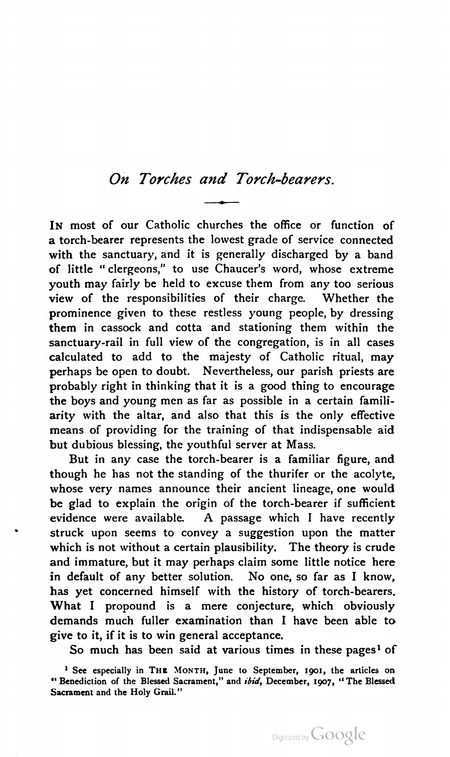## Oh Torches and Tarch-bearers.

IN most of our Catholic churches the office or function of a torch-bearer represents the lowest grade of service connected with the sanctuary, and it is generally discharged by a band of little "clergeons," to use Chaucer's word, whose extreme youth may fairly be held to excuse them from any too serious view of the responsibilities of their charge. Whether the prominence given to these restless young people, by dressing them in cassock and cotta and stationing them within the sanctuary-rail in full view of the congregation, is in all cases calculated to add to the majesty of Catholic ritual, may perhaps be open to doubt. Nevertheless, our parish priests are probably right in thinking that it is a good thing to encourage the boys and young men as far as possible in a certain famili arity with the altar, and also that this is the only effective means of providing for the training of that indispensable aid but dubious blessing, the youthful server at Mass.

But in any case the torch-bearer is a familiar figure, and though he has not the standing of the thurifer or the acolyte, whose very names announce their ancient lineage, one would be glad to explain the origin of the torch-bearer if sufficient evidence were available. A passage which <sup>I</sup> have recently struck upon seems to convey a suggestion upon the matter which is not without a certain plausibility. The theory is crude and immature, but it may perhaps claim some little notice here in default of any better solution. No one, so far as <sup>I</sup> know, has yet concerned himself with the history of torch-bearers. What <sup>I</sup> propound is a mere conjecture, which obviously demands much fuller examination than <sup>I</sup> have been able to give to it, if it is to win general acceptance.

So much has been said at various times in these pages<sup>1</sup> of

<sup>&</sup>lt;sup>1</sup> See especially in THE MONTH, June to September, 1901, the articles on " Benediction of the Blessed Sacrament," and ibid, December, 1907, "The Blessed Sacrament and the Holy Grail."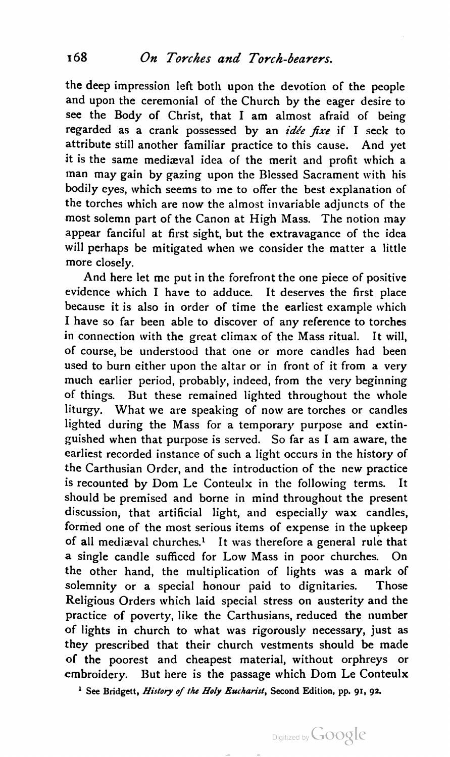the deep impression left both upon the devotion of the people and upon the ceremonial of the Church by the eager desire to see the Body of Christ, that <sup>I</sup> am almost afraid of being regarded as a crank possessed by an *idée fixe* if I seek to attribute still another familiar practice to this cause. And yet it is the same medizeval idea of the merit and profit which a man may gain by gazing upon the Blessed Sacrament with his bodily eyes, which seems to me to offer the best explanation of the torches which are now the almost invariable adjuncts of the most solemn part of the Canon at High Mass. The notion may appear fanciful at first sight, but the extravagance of the idea will perhaps be mitigated when we consider the matter a little more closely.

And here let me put in the forefront the one piece of positive evidence which <sup>I</sup> have to adduce. It deserves the first place because it is also in order of time the earliest example which <sup>I</sup> have so far been able to discover of any reference to torches in connection with the great climax of the Mass ritual. It will, of course, be understood that one or more candles had been used to burn either upon the altar or in front of it from a very much earlier period, probably, indeed, from the very beginning of things, But these remained lighted throughout the whole liturgy. What we are speaking of now are torches or candles lighted during the Mass for a temporary purpose and extin guished when that purpose is served. So far as <sup>I</sup> am aware, the earliest recorded instance of such a light occurs in the history of the Carthusian Order, and the introduction of the new practice is recounted by Dom Le Conteulx in the following terms. It should be premised and borne in mind throughout the present discussion, that artificial light, and especially wax candles, formed one of the most serious items of expense in the upkeep of all mediæval churches.<sup>1</sup> It was therefore a general rule that a single candle sufficed for Low Mass in poor churches. On the other hand, the multiplication of lights was a mark of solemnity or a special honour paid to dignitaries. Those Religious Orders which laid special stress on austerity and the practice of poverty, like the Carthusians, reduced the number of lights in church to what was rigorously necessary, just as they prescribed that their church vestments should be made 0f the poorest and cheapest material, without orphreys or embroidery. But here is the passage which Dom Le Conteulx

<sup>1</sup> See Bridgett, *History of the Holy Eucharist*, Second Edition, pp. 91, 92.

Digitized by Google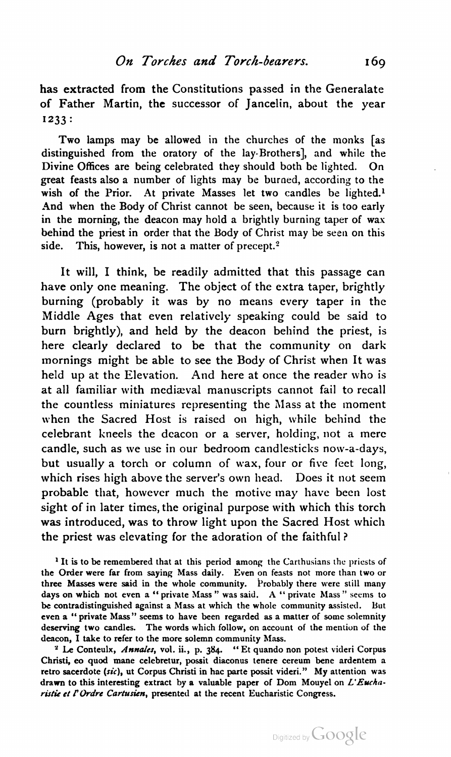has extracted from the Constitutions passed in the Generalate of Father Martin, the successor of jancelin, about the year 1233:

Two lamps may be allowed in the churches of the monks [as distinguished from the oratory of the lay-Brothers], and while the Divine Offices are being celebrated they should both be lighted. On great feasts also a number of lights may be burned, according to the wish of the Prior. At private Masses let two candles be lighted.<sup>1</sup> And when the Body of Christ cannot be seen, because it is too early in the morning, the deacon may hold a brightly burning taper of wax behind the priest in order that the Body of Christ may be seen on this side. This, however, is not a matter of precept.<sup>2</sup>

It will, <sup>I</sup> think, be readily admitted that this passage can have only one meaning. The object of the extra taper, brightly burning (probably it was by no means every taper in the Middle Ages that even relatively speaking could be said to burn brightly), and held by the deacon behind the priest, is here clearly declared to be that the community on dark mornings might be able to see the Body of Christ when It was held up at the Elevation. And here at once the reader who is at all familiar with mediæval manuscripts cannot fail to recall the countless miniatures representing the Mass at the moment when the Sacred Host is raised on high, while behind the celebrant kneels the deacon or a server, holding, not a mere candle, such as we use in our bedroom candlesticks now-a-days, but usually a torch or column of wax, four or five feet long, which rises high above the server's own head. Does it not seem probable that, however much the motive may have been lost sight of in later times, the original purpose with which this torch was introduced, was to throw light upon the Sacred Host which the priest was elevating for the adoration of the faithful?

<sup>2</sup> Le Conteulx, Annales, vol. ii., p. 384. " Et quando non potest videri Corpus Christi, eo quod mane celebretur, possit diaconus tenere cereum bene ardentem a retro sacerdote (sic), ut Corpus Christi in hac parte possit videri." My attention was drawn to this interesting extract by a valuable paper of Dom Mouyel on  $L'Excha$ ristie et l'Ordre Cartusien, presented at the recent Eucharistic Congress.

<sup>&</sup>lt;sup>1</sup> It is to be remembered that at this period among the Carthusians the priests of the Order were far from saying Mass daily. Even on feasts not more than two or three Masses were said in the whole community. Probably there were still many days on which not even a " private Mass " was said. A " private Mass " seems to be contradistinguished against a Mass at which the whole community assisted. But even a " private Mass" seems to have been regarded as a matter of some solemnity deserving two candles. The words which follow, on account of the mention of the deacon, <sup>I</sup> take to refer to the more solemn community Mass.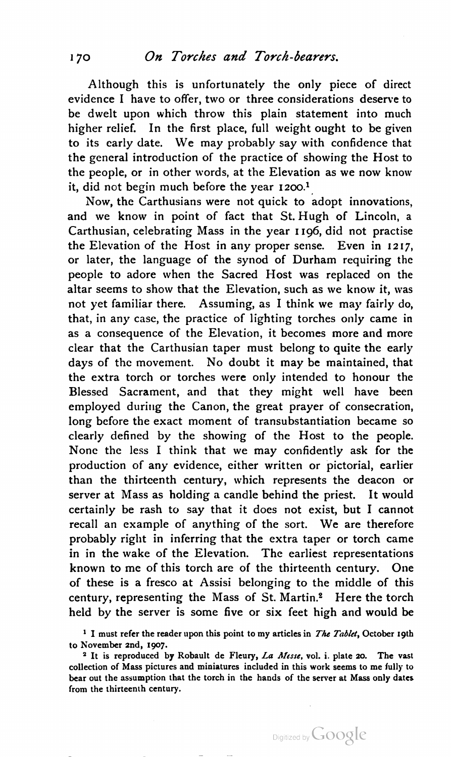Although this is unfortunately the only piece of direct evidence <sup>I</sup> have to offer, two or three considerations deserve to be dwelt upon which throw this plain statement into much higher relief. In the first place, full weight ought to be given to its early date. We may probably say with confidence that the general introduction of the practice of showing the Host to the people, or in other words, at the Elevation as we now know it, did not begin much before the year 1200.<sup>1</sup>

Now, the Carthusians were not quick to adopt innovations, and we know in point of fact that St.Hugh of Lincoln, <sup>a</sup> Carthusian, celebrating Mass in the year 1196, did not practise the Elevation of the Host in any proper sense. Even in 1217, or later, the language of the synod of Durham requiring the people to adore when the Sacred Host was replaced on the altar seems to show that the Elevation, such as we know it, was not yet familiar there. Assuming, as <sup>I</sup> think we may fairly do, that, in any case, the practice of lighting torches only came in as a consequence of the Elevation, it becomes more and more clear that the Carthusian taper must belong to quite the early days of the movement. No doubt it may be maintained, that the extra torch or torches were only intended to honour the Blessed Sacrament, and that they might well have been employed during the Canon, the great prayer of consecration, long before the exact moment of transubstantiation became so clearly defined by the showing of the Host to the people. None the less <sup>I</sup> think that we may confidently ask for the production of any evidence, either written or pictorial, earlier than the thirteenth century, which represents the deacon or server at Mass as holding a candle behind the priest. It would certainly be rash to say that it does not exist, but <sup>I</sup> cannot recall an example of anything of the sort. We are therefore probably right in inferring that the extra taper or torch came in in the wake of the Elevation. The earliest representations known to me of this torch are of the thirteenth century. One of these is a fresco at Assisi belonging to the middle of this century, representing the Mass of St. Martin.2 Here the torch held by the server is some five or six feet high and would be

<sup>1</sup> I must refer the reader upon this point to my articles in *The Tablet*, October 19th to November 2nd, 1907.

<sup>2</sup> It is reproduced by Robault de Fleury, La Messe, vol. i. plate 20. The vast collection of Mass pictures and miniatures included in this work seems to me fully to bear out the assumption that the torch in the hands of the server at Mass only dates from the thirteenth century.

Digitized by Google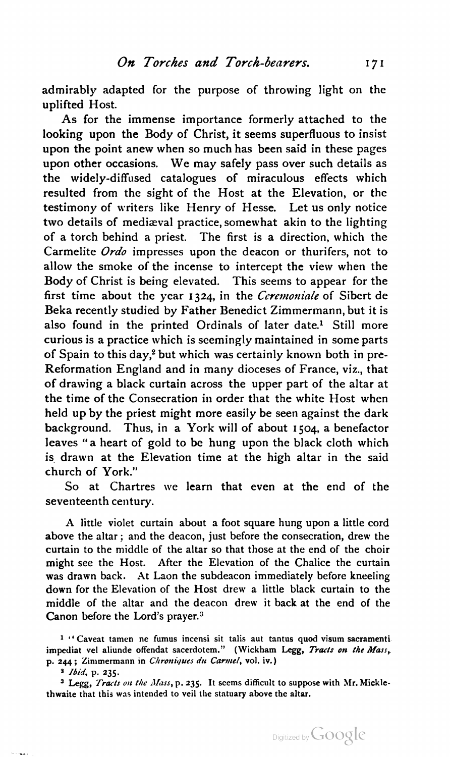admirably adapted for the purpose of throwing light on the uplifted Host.

As for the immense importance formerly attached to the looking upon the Body of Christ, it seems superfluous to insist upon the point anew when so much has been said in these pages upon other occasions. We may safely pass over such details as the widely-diffused catalogues of miraculous effects which resulted from the sight of the Host at the Elevation, or the testimony of writers like Henry of Hesse. Let us only notice two details of mediæval practice, somewhat akin to the lighting of a torch behind a priest. The first is a direction, which the Carmelite Ordo impresses upon the deacon or thurifers, not to allow the smoke of the incense to intercept the view when the Body of Christ is being elevated. This seems to appear for the first time about the year 1324, in the Ceremoniale of Sibert de Beka recently studied by Father Benedict Zimmermann, but it is also found in the printed Ordinals of later date.<sup>1</sup> Still more curious is a practice which is seemingly maintained in some parts of Spain to this day,<sup>2</sup> but which was certainly known both in pre-Reformation England and in many dioceses of France, viz., that of drawing a black curtain across the upper part of the altar at the time of the Consecration in order that the white Host when held up by the priest might more easily be seen against the dark background. Thus, in a York will of about 1504, a benefactor leaves "a heart of gold to be hung upon the black cloth which is drawn at the Elevation time at the high altar in the said church of York."

So at Chartres we learn that even at the end of the seventeenth century.

A little violet curtain about <sup>a</sup> foot square hung upon <sup>a</sup> little cord above the altar; and the deacon, just before the consecration, drew the curtain to the middle of the altar so that those at the end of the choir might see the Host. After the Elevation of the Chalice the curtain was drawn back. At Laon the subdeacon immediately before kneeling down for the Elevation of the Host drew a little black curtain to the middle of the altar and the deacon drew it back at the end of the Canon before the Lord's prayer.3

 $1$  "Caveat tamen ne fumus incensi sit talis aut tantus quod visum sacramenti impediat vel aliunde offendat sacerdotem." (Wickham Legg, *Tracts on the Mass*, p. 244; Zimmermann in Chroniques du Carmel, vol. iv.)

3 Ibid, p. 235.

 $\omega$  -  $\omega_{\rm max}$  .

<sup>3</sup> Legg, Tracts on the Mass, p. 235. It seems difficult to suppose with Mr. Micklethwaite that this was intended to veil the statuary above the altar.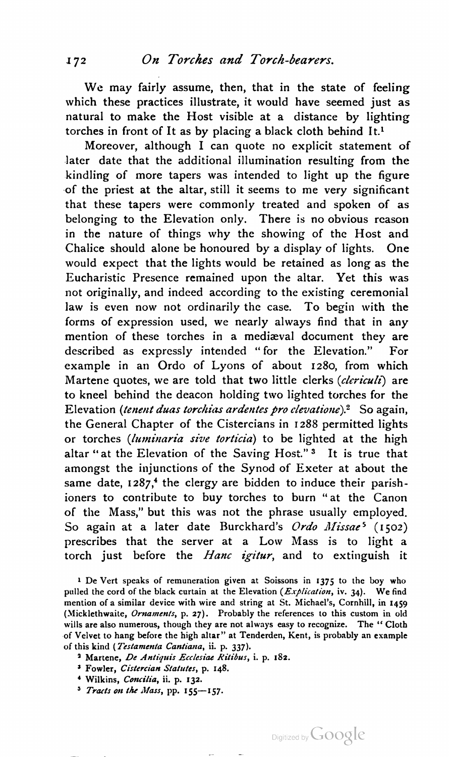We may fairly assume, then, that in the state of feeling which these practices illustrate, it would have seemed just as natural to make the Host visible at a distance by lighting torches in front of It as by placing a black cloth behind It.l

Moreover, although <sup>I</sup> can quote no explicit statement of later date that the additional illumination resulting from the kindling of more tapers was intended to light up the figure of the priest at the altar, still it seems to me very significant that these tapers were commonly treated and spoken of as belonging to the Elevation only. There is no obvious reason in the nature of things why the showing of the Host and Chalice should alone be honoured by a display of lights. One would expect that the lights would be retained as long as the Eucharistic Presence remained upon the altar. Yet this was not originally, and indeed according to the existing ceremonial law is even now not ordinarily the case. To begin with the forms of expression used, we nearly always find that in any mention of these torches in a mediaeval document they are described as expressly intended "for the Elevation." For example in an Ordo of Lyons of about 1280, from which Martene quotes, we are told that two little clerks (clericuli) are to kneel behind the deacon holding two lighted torches for the Elevation (tenent duas torchias ardentes pro clevatione).<sup>2</sup> So again, the General Chapter of the Cistercians in 1288 permitted lights or torches (luminaria sive torticia) to be lighted at the high altar "at the Elevation of the Saving Host."3 It is true that amongst the injunctions of the Synod of Exeter at about the same date,  $1287$ <sup>4</sup>, the clergy are bidden to induce their parishioners to contribute to buy torches to burn "at the Canon of the Mass," but this was not the phrase usually employed.<br>So again at a later date Burckhard's Ordo Missae<sup>5</sup> (1502) prescribes that the server at a Low Mass is to light a torch just before the Hanc igitur, and to extinguish it

- <sup>2</sup> Martene, De Antiquis Ecclesiae Ritibus, i. p. 182.
- <sup>3</sup> Fowler, Cistercian Statutes, p. 148.
- <sup>4</sup> Wilkins, *Concilia*, ii. p. 132.
- $5$  Tracts on the Mass, pp. 155-157.

<sup>1</sup> De Vert speaks of remuneration given at Soissons in 1375 to the boy who pulled the cord of the black curtain at the Elevation ( $Explication$ , iv. 34). We find mention of a similar device with wire and string at St. Michael's, Cornhill, in 1459 (Micklethwaite, Ornaments, p. 27). Probably the references to this custom in old wills are also numerous, though they are not always easy to recognize. The "Cloth of Velvet to hang before the high altar" at Tenderden, Kent, is probably an example of this kind (Testamenta Cantiana, ii. p. 337).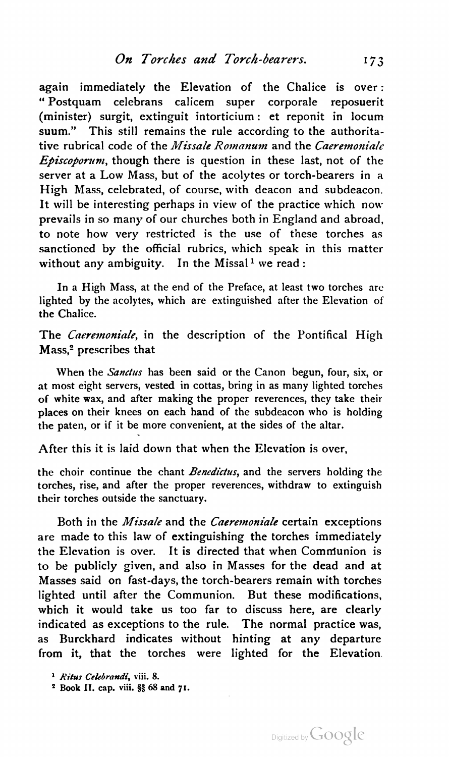again immediately the Elevation of the Chalice is over: " Postquam celebrans calicem super corporale reposuerit (minister) surgit, extinguit intorticium: et reponit in locum suum." This still remains the rule according to the authoritative rubrical code of the *Missale Romanum* and the *Caeremoniale*  $Episcoperum$ , though there is question in these last, not of the server at <sup>a</sup> Low Mass, but of the acolytes or torch-bearers in a High Mass, celebrated, of course, with deacon and subdeacon. It will be interesting perhaps in view of the practice which now prevails in so many of our churches both in England and abroad, to note how very restricted is the use of these torches as sanctioned by the official rubrics, which speak in this matter without any ambiguity. In the Missal<sup>1</sup> we read :

In a High Mass, at the end of the Preface, at least two torches are lighted by the acolytes, which are extinguished after the Elevation of the Chalice.

The *Caeremoniale*, in the description of the Pontifical High Mass,2 prescribes that

When the Sanctus has been said or the Canon begun, four, six, or at most eight servers, vested in cottas, bring in as many lighted torches of white wax, and after making the proper reverences, they take their places on their knees on each hand of the subdeacon who is holding the paten, or if it be more convenient, at the sides of the altar.

After this it is laid down that when the Elevation is over,

the choir continue the chant Benedictus, and the servers holding the torches, rise, and after the proper reverences, withdraw to extinguish their torches outside the sanctuary.

Both in the Missale and the Caeremoniale certain exceptions are made to this law of extinguishing the torches immediately the Elevation is over. It is directed that when Communion is to be publicly given, and also in Masses for the dead and at Masses said on fast-days, the torch-bearers remain with torches lighted until after the Communion. But these modifications, which it would take us too far to discuss here, are clearly indicated as exceptions to the rule. The normal practice was, as Burckhard indicates without hinting at any departure from it, that the torches were lighted for the Elevation

<sup>&</sup>lt;sup>1</sup> Ritus Celebrandi, viii. 8.

<sup>2</sup> Book II. cap. viii. §§ 68 and 71.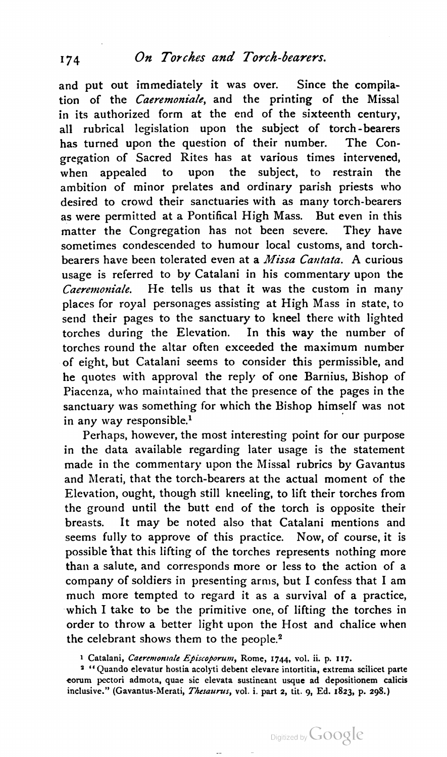and put out immediately it was over. Since the compila tion of the *Caeremoniale*, and the printing of the Missal in its authorized form at the end of the sixteenth century, all rubrical legislation upon the subject of torch-bearers has turned upon the question of their number. The Con gregation of Sacred Rites has at various times intervened, when appealed to upon the subject, to restrain the ambition of minor prelates and ordinary parish priests who desired to crowd their sanctuaries with as many torch-bearers as were permitted at a Pontifical High Mass. But even in this matter the Congregation has not been severe. They have sometimes condescended to humour local customs, and torch bearers have been tolerated even at a *Missa Cantata*. A curious usage is referred to by Catalani in his commentary upon the Caeremom'ale. He tells us that it was the custom in many places for royal personages assisting at High Mass in state, to send their pages to the sanctuary to kneel there with lighted torches during the Elevation. In this way the number of torches round the altar often exceeded the maximum number of eight, but Catalani seems to consider this permissible, and he quotes with approval the reply of one Barnius, Bishop of Piacenza, who maintained that the presence of the pages in the sanctuary was something for which the Bishop himself was not in any way responsible.<sup>1</sup>

Perhaps, however, the most interesting point for our purpose in the data available regarding later usage is the statement made in the commentary upon the Missal rubrics by Gavantus and Merati, that the torch-bearers at the actual moment of the Elevation, ought, though still kneeling, to lift their torches from the ground until the butt end of the torch is opposite their breasts. It may be noted also that Catalani mentions and seems fully to approve of this practice. Now, of course, it is possible 'that this lifting of the torches represents nothing more than a salute, and corresponds more or less to the action of a company of soldiers in presenting arms, but <sup>I</sup> confess that <sup>I</sup> am much more tempted to regard it as a survival of a practice, which <sup>I</sup> take to be the primitive one, of lifting the torches in order to throw a better light upon the Host and chalice when the celebrant shows them to the people.<sup>2</sup>

1 Catalani, Caeremoniale Episcoporum, Rome, 1744, vol. ii. p. 117.

<sup>2</sup> " Quando elevatur hostia acolyti debent elevare intortitia, extrema scilicet parte eorum pectori admota, quae sic elevata sustineant usque ad depositionem calicis inclusive." (Gavantus-Merati, Thesaurus, vol. i. part 2, tit. 9, Ed. 1823, p. 298.)

Digitized by Google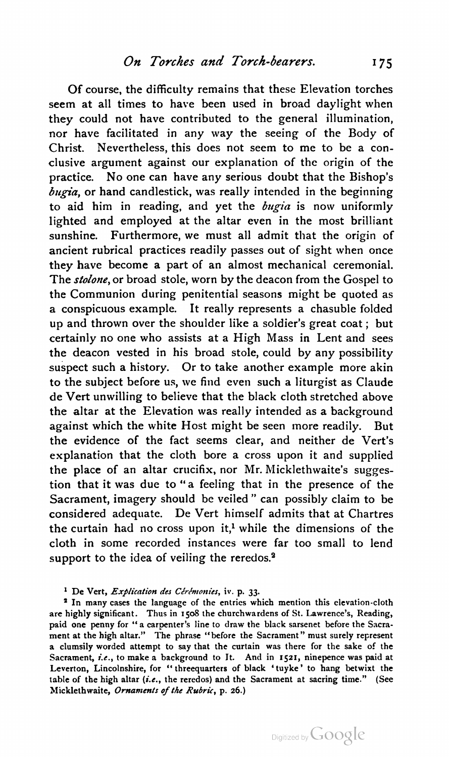Of course, the difficulty remains that these Elevation torches seem at all times to have been used in broad daylight when they could not have contributed to the general illumination, nor have facilitated in any way the seeing of the Body of Christ. Nevertheless, this does not seem to me to be <sup>a</sup> con clusive argument against our explanation of the origin of the practice. No one can have any serious doubt that the Bishop's  $bugia$ , or hand candlestick, was really intended in the beginning to aid him in reading, and yet the  $bugia$  is now uniformly lighted and employed at the altar even in the most brilliant sunshine. Furthermore, we must all admit that the origin of ancient rubrical practices readily passes out of sight when once they have become a part of an almost mechanical ceremonial. The *stolone*, or broad stole, worn by the deacon from the Gospel to the Communion during penitential seasons might be quoted as a conspicuous example. It really represents a chasuble folded up and thrown over the shoulder like a soldier's great coat ; but certainly no one who assists at a High Mass in Lent and sees the deacon vested in his broad stole, could by any possibility suspect such a history. Or to take another example more akin to the subject before us, we find even such a liturgist as Claude de Vert unwilling to believe that the black cloth stretched above the altar at the Elevation was really intended as a background against which the white Host might be seen more readily. But the evidence of the fact seems clear, and neither de Vert's explanation that the cloth bore a cross upon it and supplied the place of an altar crucifix, nor Mr. Micklethwaite's suggestion that it was due to "a feeling that in the presence of the Sacrament, imagery should be veiled " can possibly claim to be considered adequate. De Vert himself admits that at Chartres the curtain had no cross upon it,<sup>1</sup> while the dimensions of the cloth in some recorded instances were far too small to lend support to the idea of veiling the reredos.<sup>2</sup>

<sup>2</sup> In many cases the language of the entries which mention this elevation-cloth are highly significant. Thus in 1508 the churchwardens of St. Lawrence's, Reading, paid one penny for " a carpenter's line to draw the black sarsenet before the Sacra ment at the high altar." The phrase "before the Sacrament" must surely represent a clumsily worded attempt to say that the curtain was there for the sake of the Sacrament, i.e., to make a background to It. And in 1521, ninepence was paid at Leverton, Lincolnshire, for "threequarters of black 'tuyke' to hang betwixt the table of the high altar (i.e., the reredos) and the Sacrament at sacring time." (See Micklethwaite, Ornaments of the Rubric, p. 26.)

<sup>&</sup>lt;sup>1</sup> De Vert, Explication des Cérémonies, iv. p. 33.